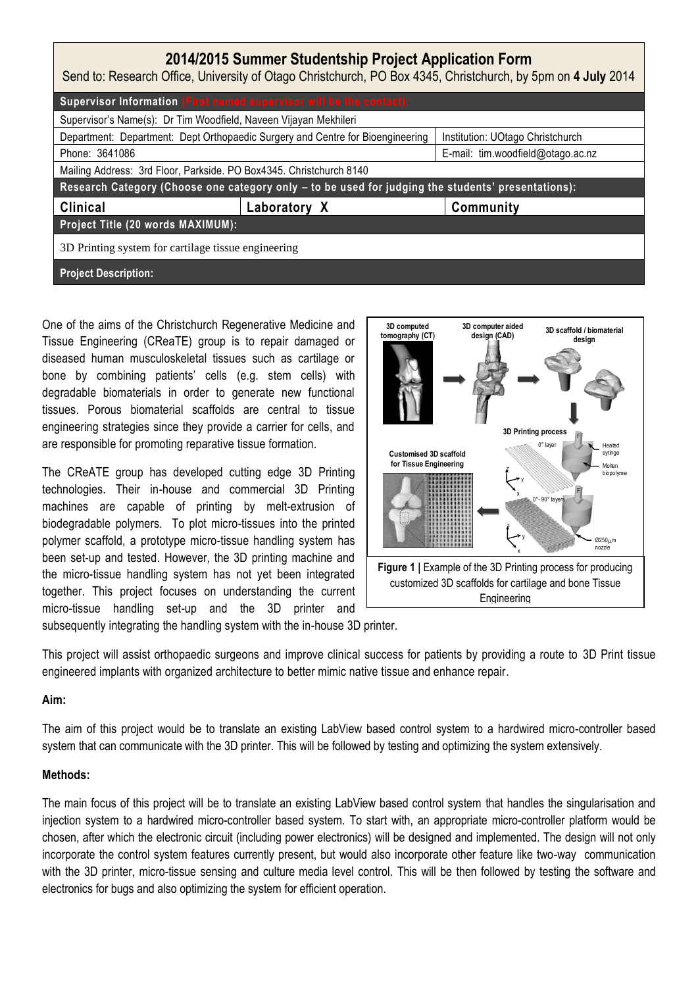| 2014/2015 Summer Studentship Project Application Form<br>Send to: Research Office, University of Otago Christchurch, PO Box 4345, Christchurch, by 5pm on 4 July 2014 |              |                                   |
|-----------------------------------------------------------------------------------------------------------------------------------------------------------------------|--------------|-----------------------------------|
| Supervisor Information (First named supervisor will be the contact):                                                                                                  |              |                                   |
| Supervisor's Name(s): Dr Tim Woodfield, Naveen Vijayan Mekhileri                                                                                                      |              |                                   |
| Department: Department: Dept Orthopaedic Surgery and Centre for Bioengineering                                                                                        |              | Institution: UOtago Christchurch  |
| Phone: 3641086                                                                                                                                                        |              | E-mail: tim.woodfield@otago.ac.nz |
| Mailing Address: 3rd Floor, Parkside. PO Box4345. Christchurch 8140                                                                                                   |              |                                   |
| Research Category (Choose one category only - to be used for judging the students' presentations):                                                                    |              |                                   |
| <b>Clinical</b>                                                                                                                                                       | Laboratory X | Community                         |
| Project Title (20 words MAXIMUM):                                                                                                                                     |              |                                   |
| 3D Printing system for cartilage tissue engineering                                                                                                                   |              |                                   |
| <b>Project Description:</b>                                                                                                                                           |              |                                   |

One of the aims of the Christchurch Regenerative Medicine and Tissue Engineering (CReaTE) group is to repair damaged or diseased human musculoskeletal tissues such as cartilage or bone by combining patients' cells (e.g. stem cells) with degradable biomaterials in order to generate new functional tissues. Porous biomaterial scaffolds are central to tissue engineering strategies since they provide a carrier for cells, and are responsible for promoting reparative tissue formation.

The CReATE group has developed cutting edge 3D Printing technologies. Their in-house and commercial 3D Printing machines are capable of printing by melt-extrusion of biodegradable polymers. To plot micro-tissues into the printed polymer scaffold, a prototype micro-tissue handling system has been set-up and tested. However, the 3D printing machine and the micro-tissue handling system has not yet been integrated together. This project focuses on understanding the current micro-tissue handling set-up and the 3D printer and



subsequently integrating the handling system with the in-house 3D printer.

This project will assist orthopaedic surgeons and improve clinical success for patients by providing a route to 3D Print tissue engineered implants with organized architecture to better mimic native tissue and enhance repair.

## **Aim:**

The aim of this project would be to translate an existing LabView based control system to a hardwired micro-controller based system that can communicate with the 3D printer. This will be followed by testing and optimizing the system extensively.

## **Methods:**

The main focus of this project will be to translate an existing LabView based control system that handles the singularisation and injection system to a hardwired micro-controller based system. To start with, an appropriate micro-controller platform would be chosen, after which the electronic circuit (including power electronics) will be designed and implemented. The design will not only incorporate the control system features currently present, but would also incorporate other feature like two-way communication with the 3D printer, micro-tissue sensing and culture media level control. This will be then followed by testing the software and electronics for bugs and also optimizing the system for efficient operation.